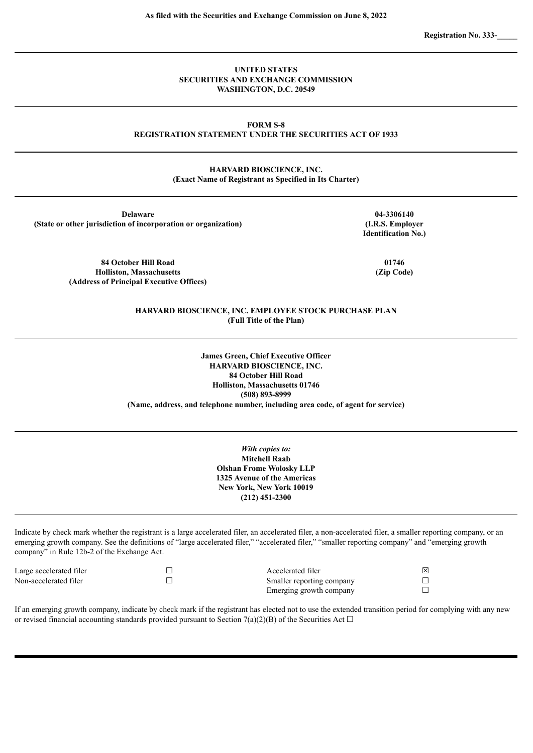**Registration No. 333-\_\_\_\_\_**

## **UNITED STATES SECURITIES AND EXCHANGE COMMISSION WASHINGTON, D.C. 20549**

## **FORM S-8 REGISTRATION STATEMENT UNDER THE SECURITIES ACT OF 1933**

## **HARVARD BIOSCIENCE, INC. (Exact Name of Registrant as Specified in Its Charter)**

**Delaware (State or other jurisdiction of incorporation or organization)**

> **84 October Hill Road Holliston, Massachusetts (Address of Principal Executive Offices)**

**04-3306140 (I.R.S. Employer Identification No.)**

> **01746 (Zip Code)**

## **HARVARD BIOSCIENCE, INC. EMPLOYEE STOCK PURCHASE PLAN (Full Title of the Plan)**

**James Green, Chief Executive Officer HARVARD BIOSCIENCE, INC. 84 October Hill Road Holliston, Massachusetts 01746 (508) 893-8999 (Name, address, and telephone number, including area code, of agent for service)**

> *With copies to:* **Mitchell Raab Olshan Frome Wolosky LLP 1325 Avenue of the Americas New York, New York 10019 (212) 451-2300**

Indicate by check mark whether the registrant is a large accelerated filer, an accelerated filer, a non-accelerated filer, a smaller reporting company, or an emerging growth company. See the definitions of "large accelerated filer," "accelerated filer," "smaller reporting company" and "emerging growth company" in Rule 12b-2 of the Exchange Act.

| Large accelerated filer | Accelerated filer         | ⊠ |
|-------------------------|---------------------------|---|
| Non-accelerated filer   | Smaller reporting company |   |
|                         | Emerging growth company   |   |

If an emerging growth company, indicate by check mark if the registrant has elected not to use the extended transition period for complying with any new or revised financial accounting standards provided pursuant to Section 7(a)(2)(B) of the Securities Act  $\Box$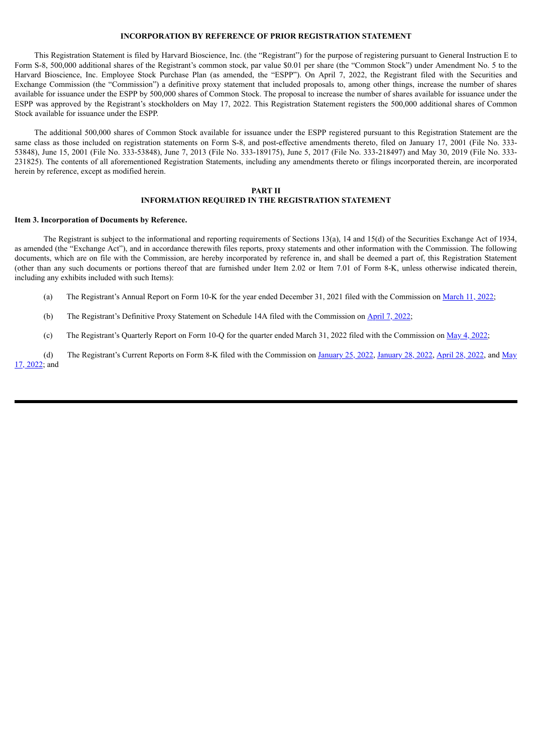## **INCORPORATION BY REFERENCE OF PRIOR REGISTRATION STATEMENT**

This Registration Statement is filed by Harvard Bioscience, Inc. (the "Registrant") for the purpose of registering pursuant to General Instruction E to Form S-8, 500,000 additional shares of the Registrant's common stock, par value \$0.01 per share (the "Common Stock") under Amendment No. 5 to the Harvard Bioscience, Inc. Employee Stock Purchase Plan (as amended, the "ESPP"). On April 7, 2022, the Registrant filed with the Securities and Exchange Commission (the "Commission") a definitive proxy statement that included proposals to, among other things, increase the number of shares available for issuance under the ESPP by 500,000 shares of Common Stock. The proposal to increase the number of shares available for issuance under the ESPP was approved by the Registrant's stockholders on May 17, 2022. This Registration Statement registers the 500,000 additional shares of Common Stock available for issuance under the ESPP.

The additional 500,000 shares of Common Stock available for issuance under the ESPP registered pursuant to this Registration Statement are the same class as those included on registration statements on Form S-8, and post-effective amendments thereto, filed on January 17, 2001 (File No. 333-53848), June 15, 2001 (File No. 333-53848), June 7, 2013 (File No. 333-189175), June 5, 2017 (File No. 333-218497) and May 30, 2019 (File No. 333- 231825). The contents of all aforementioned Registration Statements, including any amendments thereto or filings incorporated therein, are incorporated herein by reference, except as modified herein.

# **PART II**

## **INFORMATION REQUIRED IN THE REGISTRATION STATEMENT**

#### **Item 3. Incorporation of Documents by Reference.**

The Registrant is subject to the informational and reporting requirements of Sections 13(a), 14 and 15(d) of the Securities Exchange Act of 1934, as amended (the "Exchange Act"), and in accordance therewith files reports, proxy statements and other information with the Commission. The following documents, which are on file with the Commission, are hereby incorporated by reference in, and shall be deemed a part of, this Registration Statement (other than any such documents or portions thereof that are furnished under Item 2.02 or Item 7.01 of Form 8-K, unless otherwise indicated therein, including any exhibits included with such Items):

(a) The Registrant's Annual Report on Form 10-K for the year ended December 31, 2021 filed with the Commission on [March](https://www.sec.gov/ix?doc=/Archives/edgar/data/1123494/000117184322001806/hboi20211231_10k.htm) 11, 2022;

(b) The Registrant's Definitive Proxy Statement on Schedule 14A filed with the Commission on [April](https://www.sec.gov/Archives/edgar/data/1123494/000117184322002450/def14a_040722.htm) 7, 2022;

(c) The Registrant's Quarterly Report on Form 10-Q for the quarter ended March 31, 2022 filed with the Commission on  $\underline{May 4, 2022}$ ;

(d) The Registrant's Current Reports on Form 8-K filed with the [Commission](https://www.sec.gov/ix?doc=/Archives/edgar/data/1123494/000119380522000823/e621669_8k-hbio.htm) on [January](https://www.sec.gov/ix?doc=/Archives/edgar/data/0001123494/000119380522000124/e621242_8k-hbi.htm) 25, 2022, January 28, 2022, [April](https://www.sec.gov/ix?doc=/Archives/edgar/data/0001123494/000119380522000698/e621557_8k-hbi.htm) 28, 2022, and May 17, 2022; and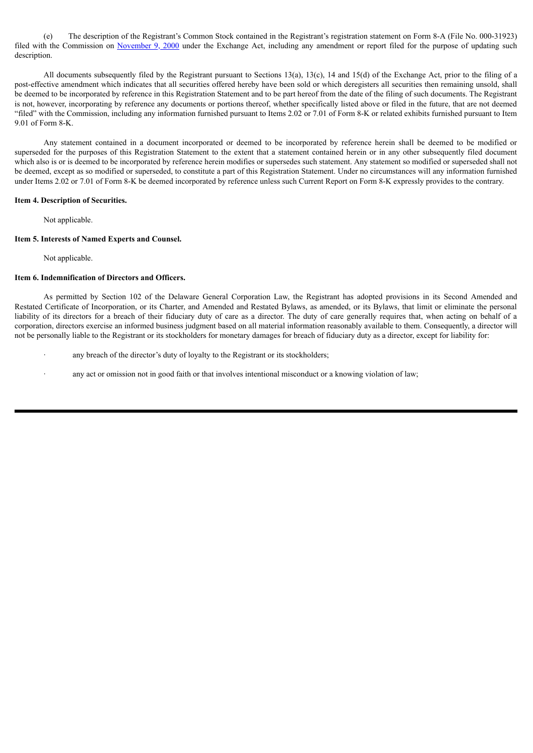(e) The description of the Registrant's Common Stock contained in the Registrant's registration statement on Form 8-A (File No. 000-31923) filed with the Commission on [November](https://www.sec.gov/Archives/edgar/data/1123494/000091205700047956/a2029213z8-a12g.txt) 9, 2000 under the Exchange Act, including any amendment or report filed for the purpose of updating such description.

All documents subsequently filed by the Registrant pursuant to Sections 13(a), 13(c), 14 and 15(d) of the Exchange Act, prior to the filing of a post-effective amendment which indicates that all securities offered hereby have been sold or which deregisters all securities then remaining unsold, shall be deemed to be incorporated by reference in this Registration Statement and to be part hereof from the date of the filing of such documents. The Registrant is not, however, incorporating by reference any documents or portions thereof, whether specifically listed above or filed in the future, that are not deemed "filed" with the Commission, including any information furnished pursuant to Items 2.02 or 7.01 of Form 8-K or related exhibits furnished pursuant to Item 9.01 of Form 8-K.

Any statement contained in a document incorporated or deemed to be incorporated by reference herein shall be deemed to be modified or superseded for the purposes of this Registration Statement to the extent that a statement contained herein or in any other subsequently filed document which also is or is deemed to be incorporated by reference herein modifies or supersedes such statement. Any statement so modified or superseded shall not be deemed, except as so modified or superseded, to constitute a part of this Registration Statement. Under no circumstances will any information furnished under Items 2.02 or 7.01 of Form 8-K be deemed incorporated by reference unless such Current Report on Form 8-K expressly provides to the contrary.

#### **Item 4. Description of Securities.**

Not applicable.

## **Item 5. Interests of Named Experts and Counsel.**

Not applicable.

## **Item 6. Indemnification of Directors and Officers.**

As permitted by Section 102 of the Delaware General Corporation Law, the Registrant has adopted provisions in its Second Amended and Restated Certificate of Incorporation, or its Charter, and Amended and Restated Bylaws, as amended, or its Bylaws, that limit or eliminate the personal liability of its directors for a breach of their fiduciary duty of care as a director. The duty of care generally requires that, when acting on behalf of a corporation, directors exercise an informed business judgment based on all material information reasonably available to them. Consequently, a director will not be personally liable to the Registrant or its stockholders for monetary damages for breach of fiduciary duty as a director, except for liability for:

- any breach of the director's duty of loyalty to the Registrant or its stockholders;
- any act or omission not in good faith or that involves intentional misconduct or a knowing violation of law;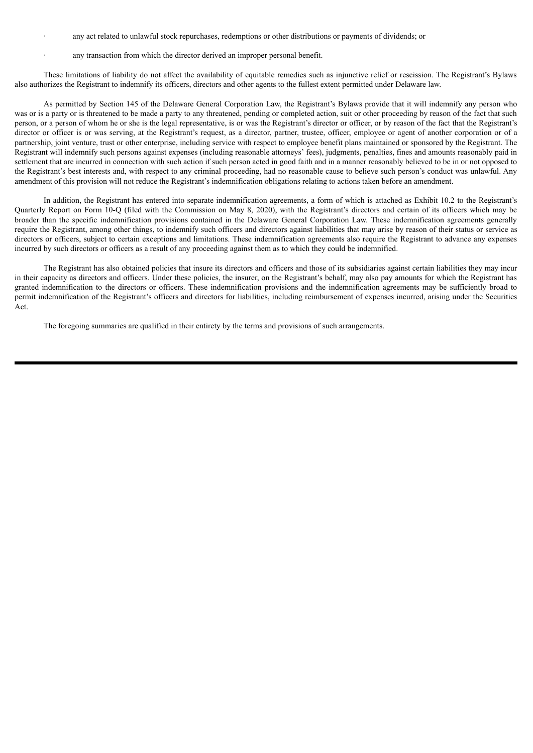- any act related to unlawful stock repurchases, redemptions or other distributions or payments of dividends; or
- any transaction from which the director derived an improper personal benefit.

These limitations of liability do not affect the availability of equitable remedies such as injunctive relief or rescission. The Registrant's Bylaws also authorizes the Registrant to indemnify its officers, directors and other agents to the fullest extent permitted under Delaware law.

As permitted by Section 145 of the Delaware General Corporation Law, the Registrant's Bylaws provide that it will indemnify any person who was or is a party or is threatened to be made a party to any threatened, pending or completed action, suit or other proceeding by reason of the fact that such person, or a person of whom he or she is the legal representative, is or was the Registrant's director or officer, or by reason of the fact that the Registrant's director or officer is or was serving, at the Registrant's request, as a director, partner, trustee, officer, employee or agent of another corporation or of a partnership, joint venture, trust or other enterprise, including service with respect to employee benefit plans maintained or sponsored by the Registrant. The Registrant will indemnify such persons against expenses (including reasonable attorneys' fees), judgments, penalties, fines and amounts reasonably paid in settlement that are incurred in connection with such action if such person acted in good faith and in a manner reasonably believed to be in or not opposed to the Registrant's best interests and, with respect to any criminal proceeding, had no reasonable cause to believe such person's conduct was unlawful. Any amendment of this provision will not reduce the Registrant's indemnification obligations relating to actions taken before an amendment.

In addition, the Registrant has entered into separate indemnification agreements, a form of which is attached as Exhibit 10.2 to the Registrant's Quarterly Report on Form 10-Q (filed with the Commission on May 8, 2020), with the Registrant's directors and certain of its officers which may be broader than the specific indemnification provisions contained in the Delaware General Corporation Law. These indemnification agreements generally require the Registrant, among other things, to indemnify such officers and directors against liabilities that may arise by reason of their status or service as directors or officers, subject to certain exceptions and limitations. These indemnification agreements also require the Registrant to advance any expenses incurred by such directors or officers as a result of any proceeding against them as to which they could be indemnified.

The Registrant has also obtained policies that insure its directors and officers and those of its subsidiaries against certain liabilities they may incur in their capacity as directors and officers. Under these policies, the insurer, on the Registrant's behalf, may also pay amounts for which the Registrant has granted indemnification to the directors or officers. These indemnification provisions and the indemnification agreements may be sufficiently broad to permit indemnification of the Registrant's officers and directors for liabilities, including reimbursement of expenses incurred, arising under the Securities Act.

The foregoing summaries are qualified in their entirety by the terms and provisions of such arrangements.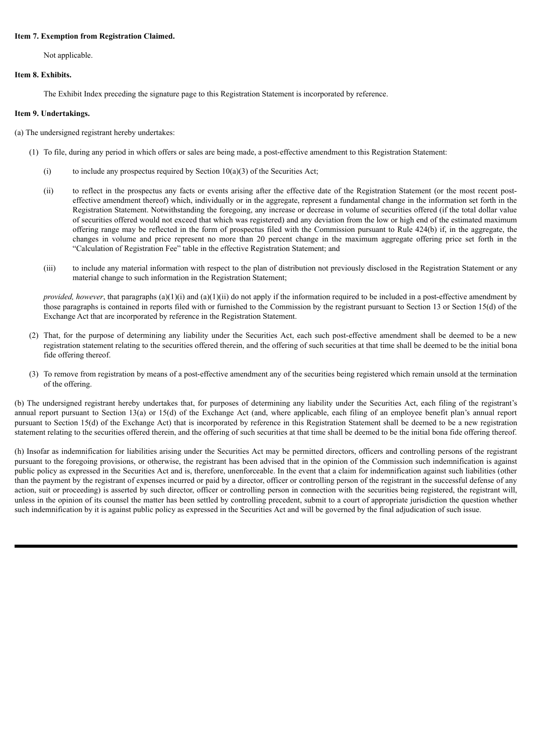## **Item 7. Exemption from Registration Claimed.**

Not applicable.

## **Item 8. Exhibits.**

The Exhibit Index preceding the signature page to this Registration Statement is incorporated by reference.

## **Item 9. Undertakings.**

(a) The undersigned registrant hereby undertakes:

- (1) To file, during any period in which offers or sales are being made, a post-effective amendment to this Registration Statement:
	- (i) to include any prospectus required by Section  $10(a)(3)$  of the Securities Act;
	- (ii) to reflect in the prospectus any facts or events arising after the effective date of the Registration Statement (or the most recent posteffective amendment thereof) which, individually or in the aggregate, represent a fundamental change in the information set forth in the Registration Statement. Notwithstanding the foregoing, any increase or decrease in volume of securities offered (if the total dollar value of securities offered would not exceed that which was registered) and any deviation from the low or high end of the estimated maximum offering range may be reflected in the form of prospectus filed with the Commission pursuant to Rule 424(b) if, in the aggregate, the changes in volume and price represent no more than 20 percent change in the maximum aggregate offering price set forth in the "Calculation of Registration Fee" table in the effective Registration Statement; and
	- (iii) to include any material information with respect to the plan of distribution not previously disclosed in the Registration Statement or any material change to such information in the Registration Statement;

*provided, however*, that paragraphs (a)(1)(i) and (a)(1)(ii) do not apply if the information required to be included in a post-effective amendment by those paragraphs is contained in reports filed with or furnished to the Commission by the registrant pursuant to Section 13 or Section 15(d) of the Exchange Act that are incorporated by reference in the Registration Statement.

- (2) That, for the purpose of determining any liability under the Securities Act, each such post-effective amendment shall be deemed to be a new registration statement relating to the securities offered therein, and the offering of such securities at that time shall be deemed to be the initial bona fide offering thereof.
- (3) To remove from registration by means of a post-effective amendment any of the securities being registered which remain unsold at the termination of the offering.

(b) The undersigned registrant hereby undertakes that, for purposes of determining any liability under the Securities Act, each filing of the registrant's annual report pursuant to Section 13(a) or 15(d) of the Exchange Act (and, where applicable, each filing of an employee benefit plan's annual report pursuant to Section 15(d) of the Exchange Act) that is incorporated by reference in this Registration Statement shall be deemed to be a new registration statement relating to the securities offered therein, and the offering of such securities at that time shall be deemed to be the initial bona fide offering thereof.

(h) Insofar as indemnification for liabilities arising under the Securities Act may be permitted directors, officers and controlling persons of the registrant pursuant to the foregoing provisions, or otherwise, the registrant has been advised that in the opinion of the Commission such indemnification is against public policy as expressed in the Securities Act and is, therefore, unenforceable. In the event that a claim for indemnification against such liabilities (other than the payment by the registrant of expenses incurred or paid by a director, officer or controlling person of the registrant in the successful defense of any action, suit or proceeding) is asserted by such director, officer or controlling person in connection with the securities being registered, the registrant will, unless in the opinion of its counsel the matter has been settled by controlling precedent, submit to a court of appropriate jurisdiction the question whether such indemnification by it is against public policy as expressed in the Securities Act and will be governed by the final adjudication of such issue.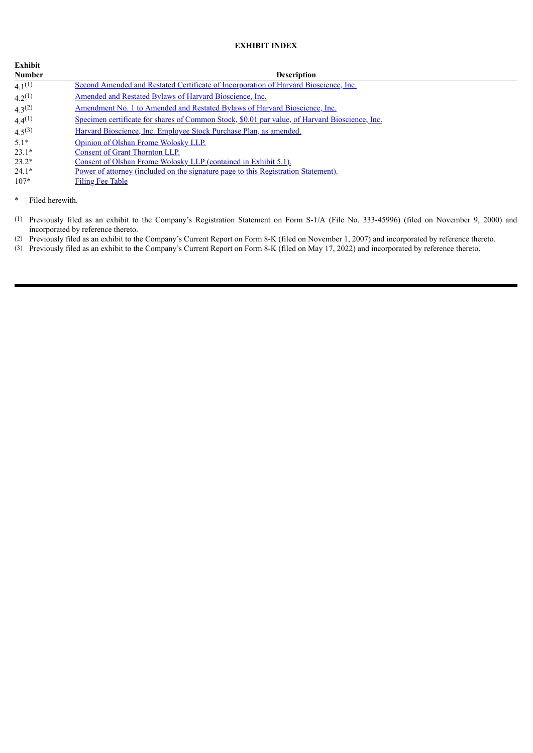# **EXHIBIT INDEX**

| Exhibit       |                                                                                                |
|---------------|------------------------------------------------------------------------------------------------|
| <b>Number</b> | <b>Description</b>                                                                             |
| $4.1^{(1)}$   | Second Amended and Restated Certificate of Incorporation of Harvard Bioscience, Inc.           |
| $4.2^{(1)}$   | Amended and Restated Bylaws of Harvard Bioscience, Inc.                                        |
| $4.3^{(2)}$   | Amendment No. 1 to Amended and Restated Bylaws of Harvard Bioscience, Inc.                     |
| $4.4^{(1)}$   | Specimen certificate for shares of Common Stock, \$0.01 par value, of Harvard Bioscience, Inc. |
| $4.5^{(3)}$   | Harvard Bioscience, Inc. Employee Stock Purchase Plan, as amended.                             |
| $5.1*$        | Opinion of Olshan Frome Wolosky LLP.                                                           |
| $23.1*$       | <b>Consent of Grant Thornton LLP.</b>                                                          |
| $23.2*$       | Consent of Olshan Frome Wolosky LLP (contained in Exhibit 5.1).                                |
| $24.1*$       | Power of attorney (included on the signature page to this Registration Statement).             |
| $107*$        | <b>Filing Fee Table</b>                                                                        |

\* Filed herewith.

(1) Previously filed as an exhibit to the Company's Registration Statement on Form S-1/A (File No. 333-45996) (filed on November 9, 2000) and incorporated by reference thereto.

(2) Previously filed as an exhibit to the Company's Current Report on Form 8-K (filed on November 1, 2007) and incorporated by reference thereto.

(3) Previously filed as an exhibit to the Company's Current Report on Form 8-K (filed on May 17, 2022) and incorporated by reference thereto.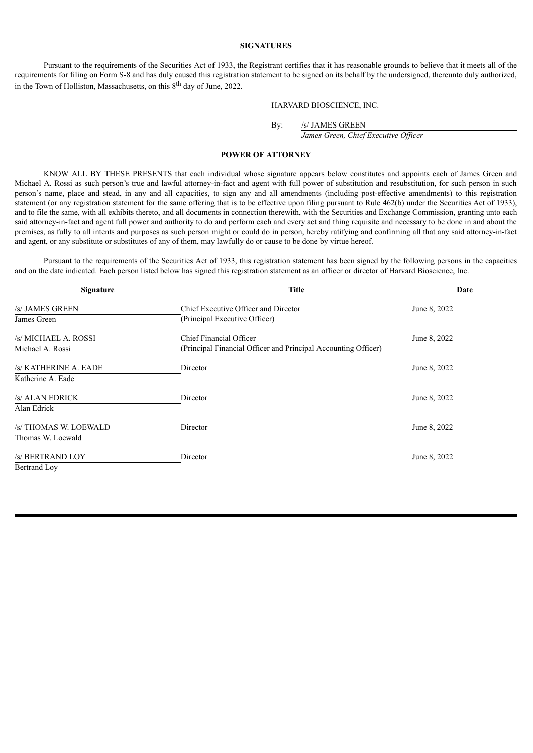## **SIGNATURES**

Pursuant to the requirements of the Securities Act of 1933, the Registrant certifies that it has reasonable grounds to believe that it meets all of the requirements for filing on Form S-8 and has duly caused this registration statement to be signed on its behalf by the undersigned, thereunto duly authorized, in the Town of Holliston, Massachusetts, on this 8<sup>th</sup> day of June, 2022.

#### HARVARD BIOSCIENCE, INC.

By: /s/ JAMES GREEN

*James Green, Chief Executive Of icer*

## **POWER OF ATTORNEY**

<span id="page-6-0"></span>KNOW ALL BY THESE PRESENTS that each individual whose signature appears below constitutes and appoints each of James Green and Michael A. Rossi as such person's true and lawful attorney-in-fact and agent with full power of substitution and resubstitution, for such person in such person's name, place and stead, in any and all capacities, to sign any and all amendments (including post-effective amendments) to this registration statement (or any registration statement for the same offering that is to be effective upon filing pursuant to Rule 462(b) under the Securities Act of 1933), and to file the same, with all exhibits thereto, and all documents in connection therewith, with the Securities and Exchange Commission, granting unto each said attorney-in-fact and agent full power and authority to do and perform each and every act and thing requisite and necessary to be done in and about the premises, as fully to all intents and purposes as such person might or could do in person, hereby ratifying and confirming all that any said attorney-in-fact and agent, or any substitute or substitutes of any of them, may lawfully do or cause to be done by virtue hereof.

Pursuant to the requirements of the Securities Act of 1933, this registration statement has been signed by the following persons in the capacities and on the date indicated. Each person listed below has signed this registration statement as an officer or director of Harvard Bioscience, Inc.

| <b>Signature</b>      | <b>Title</b>                                                   | Date         |
|-----------------------|----------------------------------------------------------------|--------------|
| /s/ JAMES GREEN       | Chief Executive Officer and Director                           | June 8, 2022 |
| James Green           | (Principal Executive Officer)                                  |              |
| /s/ MICHAEL A. ROSSI  | Chief Financial Officer                                        | June 8, 2022 |
| Michael A. Rossi      | (Principal Financial Officer and Principal Accounting Officer) |              |
| /s/ KATHERINE A. EADE | Director                                                       | June 8, 2022 |
| Katherine A. Eade     |                                                                |              |
| /s/ ALAN EDRICK       | Director                                                       | June 8, 2022 |
| Alan Edrick           |                                                                |              |
| /s/ THOMAS W. LOEWALD | Director                                                       | June 8, 2022 |
| Thomas W. Loewald     |                                                                |              |
| /s/ BERTRAND LOY      | Director                                                       | June 8, 2022 |
| <b>Bertrand Lov</b>   |                                                                |              |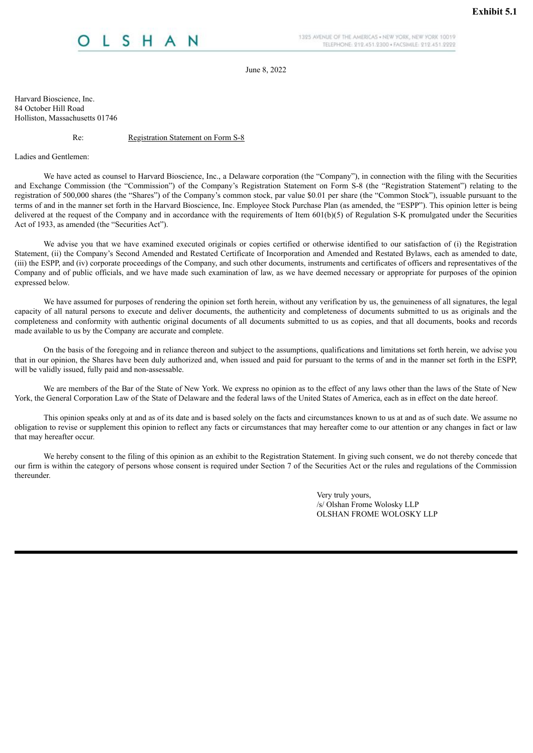# <span id="page-7-0"></span>H A

1325 AVENUE OF THE AMERICAS . NEW YORK, NEW YORK 10019 TELEPHONE: 212.451.2300 · FACSIMILE: 212.451.2222

June 8, 2022

Harvard Bioscience, Inc. 84 October Hill Road Holliston, Massachusetts 01746

Re: Registration Statement on Form S-8

Ladies and Gentlemen:

We have acted as counsel to Harvard Bioscience, Inc., a Delaware corporation (the "Company"), in connection with the filing with the Securities and Exchange Commission (the "Commission") of the Company's Registration Statement on Form S-8 (the "Registration Statement") relating to the registration of 500,000 shares (the "Shares") of the Company's common stock, par value \$0.01 per share (the "Common Stock"), issuable pursuant to the terms of and in the manner set forth in the Harvard Bioscience, Inc. Employee Stock Purchase Plan (as amended, the "ESPP"). This opinion letter is being delivered at the request of the Company and in accordance with the requirements of Item 601(b)(5) of Regulation S-K promulgated under the Securities Act of 1933, as amended (the "Securities Act").

We advise you that we have examined executed originals or copies certified or otherwise identified to our satisfaction of (i) the Registration Statement, (ii) the Company's Second Amended and Restated Certificate of Incorporation and Amended and Restated Bylaws, each as amended to date, (iii) the ESPP, and (iv) corporate proceedings of the Company, and such other documents, instruments and certificates of officers and representatives of the Company and of public officials, and we have made such examination of law, as we have deemed necessary or appropriate for purposes of the opinion expressed below.

We have assumed for purposes of rendering the opinion set forth herein, without any verification by us, the genuineness of all signatures, the legal capacity of all natural persons to execute and deliver documents, the authenticity and completeness of documents submitted to us as originals and the completeness and conformity with authentic original documents of all documents submitted to us as copies, and that all documents, books and records made available to us by the Company are accurate and complete.

On the basis of the foregoing and in reliance thereon and subject to the assumptions, qualifications and limitations set forth herein, we advise you that in our opinion, the Shares have been duly authorized and, when issued and paid for pursuant to the terms of and in the manner set forth in the ESPP, will be validly issued, fully paid and non-assessable.

We are members of the Bar of the State of New York. We express no opinion as to the effect of any laws other than the laws of the State of New York, the General Corporation Law of the State of Delaware and the federal laws of the United States of America, each as in effect on the date hereof.

This opinion speaks only at and as of its date and is based solely on the facts and circumstances known to us at and as of such date. We assume no obligation to revise or supplement this opinion to reflect any facts or circumstances that may hereafter come to our attention or any changes in fact or law that may hereafter occur.

We hereby consent to the filing of this opinion as an exhibit to the Registration Statement. In giving such consent, we do not thereby concede that our firm is within the category of persons whose consent is required under Section 7 of the Securities Act or the rules and regulations of the Commission thereunder.

> Very truly yours, /s/ Olshan Frome Wolosky LLP OLSHAN FROME WOLOSKY LLP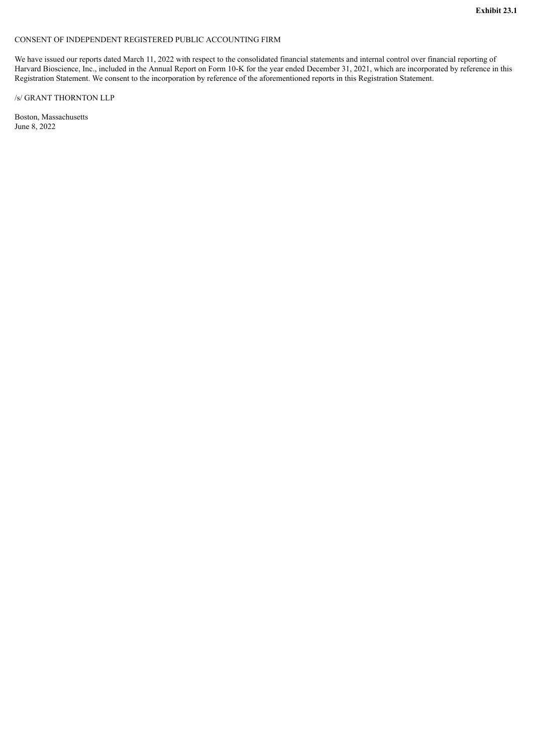# <span id="page-8-0"></span>CONSENT OF INDEPENDENT REGISTERED PUBLIC ACCOUNTING FIRM

We have issued our reports dated March 11, 2022 with respect to the consolidated financial statements and internal control over financial reporting of Harvard Bioscience, Inc., included in the Annual Report on Form 10-K for the year ended December 31, 2021, which are incorporated by reference in this Registration Statement. We consent to the incorporation by reference of the aforementioned reports in this Registration Statement.

## /s/ GRANT THORNTON LLP

Boston, Massachusetts June 8, 2022